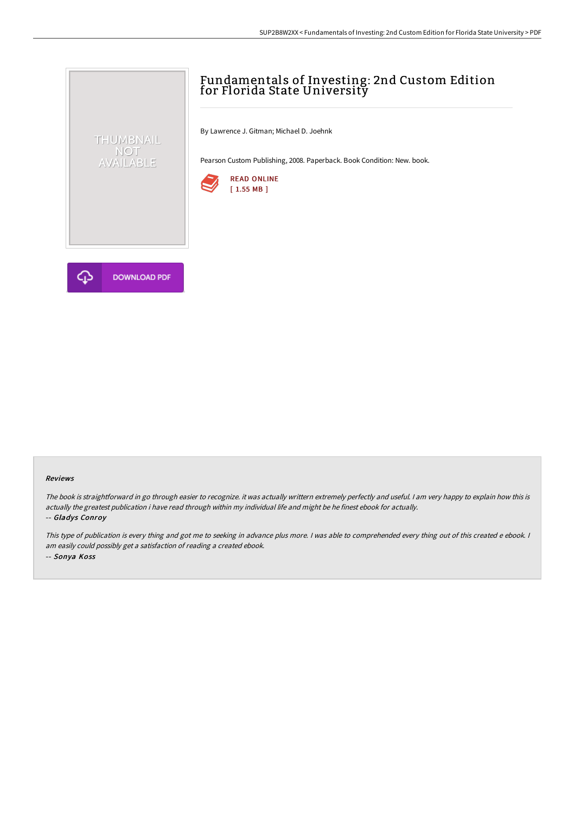# Fundamentals of Investing: 2nd Custom Edition for Florida State University

By Lawrence J. Gitman; Michael D. Joehnk

Pearson Custom Publishing, 2008. Paperback. Book Condition: New. book.





THUMBNAIL NOT<br>AVAILABLE

#### Reviews

The book is straightforward in go through easier to recognize. it was actually writtern extremely perfectly and useful. <sup>I</sup> am very happy to explain how this is actually the greatest publication i have read through within my individual life and might be he finest ebook for actually. -- Gladys Conroy

This type of publication is every thing and got me to seeking in advance plus more. I was able to comprehended every thing out of this created e ebook. I am easily could possibly get <sup>a</sup> satisfaction of reading <sup>a</sup> created ebook. -- Sonya Koss